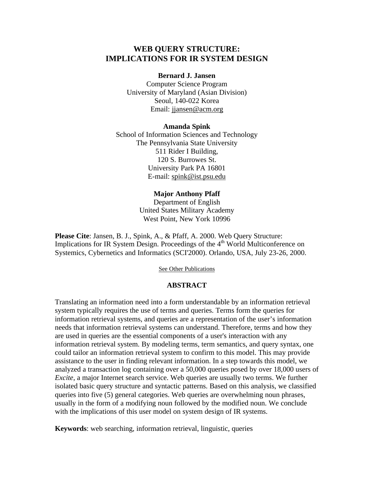# **WEB QUERY STRUCTURE: IMPLICATIONS FOR IR SYSTEM DESIGN**

#### **Bernard J. Jansen**

Computer Science Program University of Maryland (Asian Division) Seoul, 140-022 Korea Email: jjansen@acm.org

#### **Amanda Spink**

School of Information Sciences and Technology The Pennsylvania State University 511 Rider I Building, 120 S. Burrowes St. University Park PA 16801 E-mail: spink@ist.psu.edu

#### **Major Anthony Pfaff**

Department of English United States Military Academy West Point, New York 10996

**Please Cite**: Jansen, B. J., Spink, A., & Pfaff, A. 2000. Web Query Structure: Implications for IR System Design. Proceedings of the  $4<sup>th</sup>$  World Multiconference on Systemics, Cybernetics and Informatics (SCI'2000). Orlando, USA, July 23-26, 2000.

See Other Publications

### **ABSTRACT**

Translating an information need into a form understandable by an information retrieval system typically requires the use of terms and queries. Terms form the queries for information retrieval systems, and queries are a representation of the user's information needs that information retrieval systems can understand. Therefore, terms and how they are used in queries are the essential components of a user's interaction with any information retrieval system. By modeling terms, term semantics, and query syntax, one could tailor an information retrieval system to confirm to this model. This may provide assistance to the user in finding relevant information. In a step towards this model, we analyzed a transaction log containing over a 50,000 queries posed by over 18,000 users of *Excite*, a major Internet search service. Web queries are usually two terms. We further isolated basic query structure and syntactic patterns. Based on this analysis, we classified queries into five (5) general categories. Web queries are overwhelming noun phrases, usually in the form of a modifying noun followed by the modified noun. We conclude with the implications of this user model on system design of IR systems.

**Keywords**: web searching, information retrieval, linguistic, queries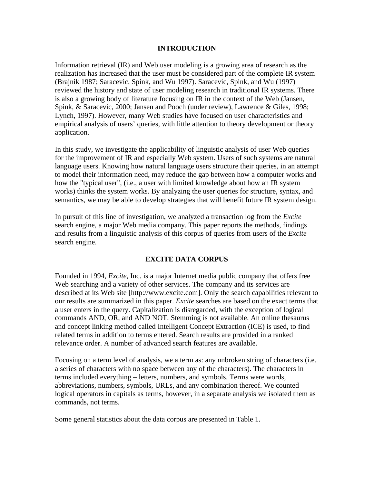## **INTRODUCTION**

Information retrieval (IR) and Web user modeling is a growing area of research as the realization has increased that the user must be considered part of the complete IR system (Brajnik 1987; Saracevic, Spink, and Wu 1997). Saracevic, Spink, and Wu (1997) reviewed the history and state of user modeling research in traditional IR systems. There is also a growing body of literature focusing on IR in the context of the Web (Jansen, Spink, & Saracevic, 2000; Jansen and Pooch (under review), Lawrence & Giles, 1998; Lynch, 1997). However, many Web studies have focused on user characteristics and empirical analysis of users' queries, with little attention to theory development or theory application.

In this study, we investigate the applicability of linguistic analysis of user Web queries for the improvement of IR and especially Web system. Users of such systems are natural language users. Knowing how natural language users structure their queries, in an attempt to model their information need, may reduce the gap between how a computer works and how the "typical user", (i.e., a user with limited knowledge about how an IR system works) thinks the system works. By analyzing the user queries for structure, syntax, and semantics, we may be able to develop strategies that will benefit future IR system design.

In pursuit of this line of investigation, we analyzed a transaction log from the *Excite* search engine, a major Web media company. This paper reports the methods, findings and results from a linguistic analysis of this corpus of queries from users of the *Excite* search engine.

### **EXCITE DATA CORPUS**

Founded in 1994, *Excite*, Inc. is a major Internet media public company that offers free Web searching and a variety of other services. The company and its services are described at its Web site [http://www.excite.com]. Only the search capabilities relevant to our results are summarized in this paper. *Excite* searches are based on the exact terms that a user enters in the query. Capitalization is disregarded, with the exception of logical commands AND, OR, and AND NOT. Stemming is not available. An online thesaurus and concept linking method called Intelligent Concept Extraction (ICE) is used, to find related terms in addition to terms entered. Search results are provided in a ranked relevance order. A number of advanced search features are available.

Focusing on a term level of analysis, we a term as: any unbroken string of characters (i.e. a series of characters with no space between any of the characters). The characters in terms included everything – letters, numbers, and symbols. Terms were words, abbreviations, numbers, symbols, URLs, and any combination thereof. We counted logical operators in capitals as terms, however, in a separate analysis we isolated them as commands, not terms.

Some general statistics about the data corpus are presented in Table 1.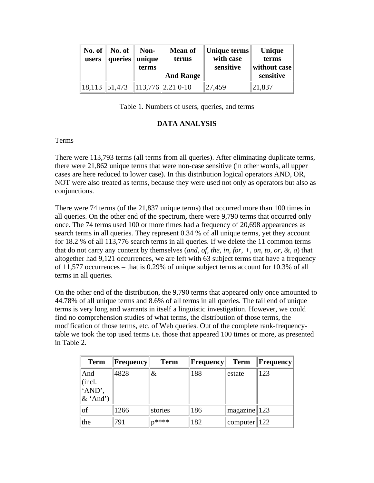| No. of $\parallel$<br>users | No. of<br>queries | Non-<br>unique<br>terms | <b>Mean of</b><br>terms           | Unique terms<br>with case<br>sensitive | Unique<br>terms<br>without case |
|-----------------------------|-------------------|-------------------------|-----------------------------------|----------------------------------------|---------------------------------|
|                             |                   |                         | <b>And Range</b>                  |                                        | sensitive                       |
|                             |                   |                         | $18,113$ 51,473 113,776 2.21 0-10 | 27,459                                 | 21,837                          |

Table 1. Numbers of users, queries, and terms

## **DATA ANALYSIS**

## Terms

There were 113,793 terms (all terms from all queries). After eliminating duplicate terms, there were 21,862 unique terms that were non-case sensitive (in other words, all upper cases are here reduced to lower case). In this distribution logical operators AND, OR, NOT were also treated as terms, because they were used not only as operators but also as conjunctions.

There were 74 terms (of the 21,837 unique terms) that occurred more than 100 times in all queries. On the other end of the spectrum**,** there were 9,790 terms that occurred only once. The 74 terms used 100 or more times had a frequency of 20,698 appearances as search terms in all queries. They represent 0.34 % of all unique terms, yet they account for 18.2 % of all 113,776 search terms in all queries. If we delete the 11 common terms that do not carry any content by themselves (*and, of, the, in, for, +, on, to, or, &, a*) that altogether had 9,121 occurrences, we are left with 63 subject terms that have a frequency of 11,577 occurrences – that is 0.29% of unique subject terms account for 10.3% of all terms in all queries.

On the other end of the distribution, the 9,790 terms that appeared only once amounted to 44.78% of all unique terms and 8.6% of all terms in all queries. The tail end of unique terms is very long and warrants in itself a linguistic investigation. However, we could find no comprehension studies of what terms, the distribution of those terms, the modification of those terms, etc. of Web queries. Out of the complete rank-frequencytable we took the top used terms i.e. those that appeared 100 times or more, as presented in Table 2.

| <b>Term</b>                            | <b>Frequency</b> | <b>Term</b> | $\ $ Frequency $\ $ | <b>Term</b>                  | Frequency |
|----------------------------------------|------------------|-------------|---------------------|------------------------------|-----------|
| And<br>(incl.<br>'AND',<br>$\&$ 'And') | 4828             | &           | 188                 | lestate                      | 123       |
| of                                     | 1266             | stories     | 186                 | $\vert$ magazine $\vert$ 123 |           |
| the                                    | 791              | $n***$      | 182                 | computer    $122$            |           |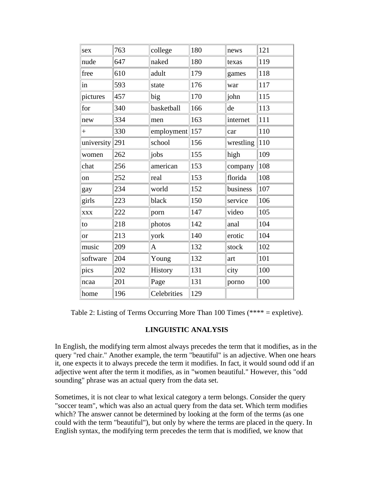| sex               | 763 | college     | 180         | news      | 121 |
|-------------------|-----|-------------|-------------|-----------|-----|
| nude              | 647 | naked       | 180         | texas     | 119 |
| free              | 610 | adult       | 179         | games     | 118 |
| in                | 593 | state       | 176         | war       | 117 |
| pictures          | 457 | big         | 170         | john      | 115 |
| for               | 340 | basketball  | 166         | de        | 113 |
| new               | 334 | men         | 163         | internet  | 111 |
| $^{+}$            | 330 | employment  | $\vert$ 157 | car       | 110 |
| university $ 291$ |     | school      | 156         | wrestling | 110 |
| women             | 262 | jobs        | 155         | high      | 109 |
| chat              | 256 | american    | 153         | company   | 108 |
| on                | 252 | real        | 153         | florida   | 108 |
| gay               | 234 | world       | 152         | business  | 107 |
| girls             | 223 | black       | 150         | service   | 106 |
| <b>XXX</b>        | 222 | porn        | 147         | video     | 105 |
| to                | 218 | photos      | 142         | anal      | 104 |
| <sub>or</sub>     | 213 | york        | 140         | erotic    | 104 |
| music             | 209 | A           | 132         | stock     | 102 |
| software          | 204 | Young       | 132         | art       | 101 |
| pics              | 202 | History     | 131         | city      | 100 |
| ncaa              | 201 | Page        | 131         | porno     | 100 |
| home              | 196 | Celebrities | 129         |           |     |

Table 2: Listing of Terms Occurring More Than 100 Times (\*\*\*\* = expletive).

## **LINGUISTIC ANALYSIS**

In English, the modifying term almost always precedes the term that it modifies, as in the query "red chair." Another example, the term "beautiful" is an adjective. When one hears it, one expects it to always precede the term it modifies. In fact, it would sound odd if an adjective went after the term it modifies, as in "women beautiful." However, this "odd sounding" phrase was an actual query from the data set.

Sometimes, it is not clear to what lexical category a term belongs. Consider the query "soccer team", which was also an actual query from the data set. Which term modifies which? The answer cannot be determined by looking at the form of the terms (as one could with the term "beautiful"), but only by where the terms are placed in the query. In English syntax, the modifying term precedes the term that is modified, we know that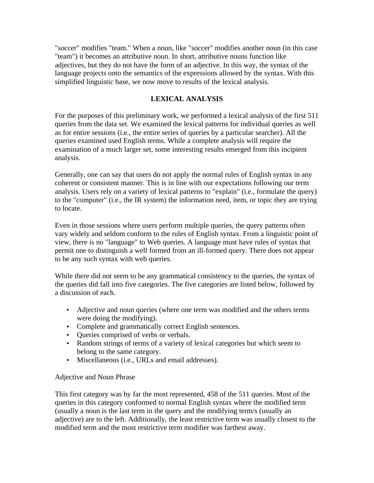"soccer" modifies "team." When a noun, like "soccer" modifies another noun (in this case "team") it becomes an attributive noun. In short, attributive nouns function like adjectives, but they do not have the form of an adjective. In this way, the syntax of the language projects onto the semantics of the expressions allowed by the syntax. With this simplified linguistic base, we now move to results of the lexical analysis.

# **LEXICAL ANALYSIS**

For the purposes of this preliminary work, we performed a lexical analysis of the first 511 queries from the data set. We examined the lexical patterns for individual queries as well as for entire sessions (i.e., the entire series of queries by a particular searcher). All the queries examined used English terms. While a complete analysis will require the examination of a much larger set, some interesting results emerged from this incipient analysis.

Generally, one can say that users do not apply the normal rules of English syntax in any coherent or consistent manner. This is in line with our expectations following our term analysis. Users rely on a variety of lexical patterns to "explain" (i.e., formulate the query) to the "computer" (i.e., the IR system) the information need, item, or topic they are trying to locate.

Even in those sessions where users perform multiple queries, the query patterns often vary widely and seldom conform to the rules of English syntax. From a linguistic point of view, there is no "language" to Web queries. A language must have rules of syntax that permit one to distinguish a well formed from an ill-formed query. There does not appear to be any such syntax with web queries.

While there did not seem to be any grammatical consistency to the queries, the syntax of the queries did fall into five categories. The five categories are listed below, followed by a discussion of each.

- Adjective and noun queries (where one term was modified and the others terms were doing the modifying).
- Complete and grammatically correct English sentences.
- Queries comprised of verbs or verbals.
- Random strings of terms of a variety of lexical categories but which seem to belong to the same category.
- Miscellaneous (i.e., URLs and email addresses).

# Adjective and Noun Phrase

This first category was by far the most represented, 458 of the 511 queries. Most of the queries in this category conformed to normal English syntax where the modified term (usually a noun is the last term in the query and the modifying term/s (usually an adjective) are to the left. Additionally, the least restrictive term was usually closest to the modified term and the most restrictive term modifier was farthest away.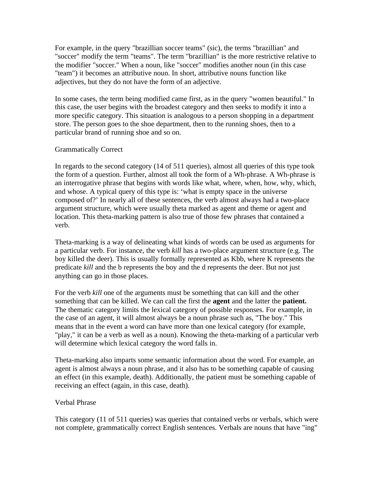For example, in the query "brazillian soccer teams" (sic), the terms "brazillian" and "soccer" modify the term "teams". The term "brazillian" is the more restrictive relative to the modifier "soccer." When a noun, like "soccer" modifies another noun (in this case "team") it becomes an attributive noun. In short, attributive nouns function like adjectives, but they do not have the form of an adjective.

In some cases, the term being modified came first, as in the query "women beautiful." In this case, the user begins with the broadest category and then seeks to modify it into a more specific category. This situation is analogous to a person shopping in a department store. The person goes to the shoe department, then to the running shoes, then to a particular brand of running shoe and so on.

## Grammatically Correct

In regards to the second category (14 of 511 queries), almost all queries of this type took the form of a question. Further, almost all took the form of a Wh-phrase. A Wh-phrase is an interrogative phrase that begins with words like what, where, when, how, why, which, and whose. A typical query of this type is: 'what is empty space in the universe composed of?' In nearly all of these sentences, the verb almost always had a two-place argument structure, which were usually theta marked as agent and theme or agent and location. This theta-marking pattern is also true of those few phrases that contained a verb.

Theta-marking is a way of delineating what kinds of words can be used as arguments for a particular verb. For instance, the verb *kill* has a two-place argument structure (e.g. The boy killed the deer). This is usually formally represented as Kbb, where K represents the predicate *kill* and the b represents the boy and the d represents the deer. But not just anything can go in those places.

For the verb *kill* one of the arguments must be something that can kill and the other something that can be killed. We can call the first the **agent** and the latter the **patient.** The thematic category limits the lexical category of possible responses. For example, in the case of an agent, it will almost always be a noun phrase such as, "The boy." This means that in the event a word can have more than one lexical category (for example, "play," it can be a verb as well as a noun). Knowing the theta-marking of a particular verb will determine which lexical category the word falls in.

Theta-marking also imparts some semantic information about the word. For example, an agent is almost always a noun phrase, and it also has to be something capable of causing an effect (in this example, death). Additionally, the patient must be something capable of receiving an effect (again, in this case, death).

## Verbal Phrase

This category (11 of 511 queries) was queries that contained verbs or verbals, which were not complete, grammatically correct English sentences. Verbals are nouns that have "ing"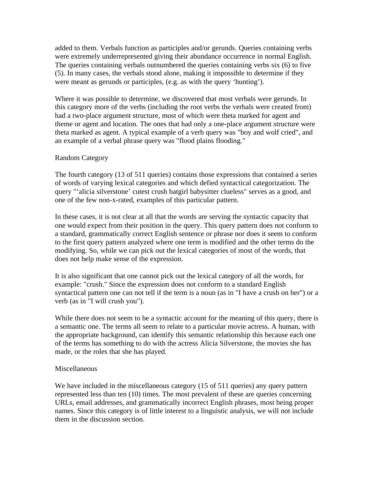added to them. Verbals function as participles and/or gerunds. Queries containing verbs were extremely underrepresented giving their abundance occurrence in normal English. The queries containing verbals outnumbered the queries containing verbs six (6) to five (5). In many cases, the verbals stood alone, making it impossible to determine if they were meant as gerunds or participles, (e.g. as with the query 'hunting').

Where it was possible to determine, we discovered that most verbals were gerunds. In this category more of the verbs (including the root verbs the verbals were created from) had a two-place argument structure, most of which were theta marked for agent and theme or agent and location. The ones that had only a one-place argument structure were theta marked as agent. A typical example of a verb query was "boy and wolf cried", and an example of a verbal phrase query was "flood plains flooding."

## Random Category

The fourth category (13 of 511 queries) contains those expressions that contained a series of words of varying lexical categories and which defied syntactical categorization. The query "'alicia silverstone' cutest crush batgirl babysitter clueless" serves as a good, and one of the few non-x-rated, examples of this particular pattern.

In these cases, it is not clear at all that the words are serving the syntactic capacity that one would expect from their position in the query. This query pattern does not conform to a standard, grammatically correct English sentence or phrase nor does it seem to conform to the first query pattern analyzed where one term is modified and the other terms do the modifying. So, while we can pick out the lexical categories of most of the words, that does not help make sense of the expression.

It is also significant that one cannot pick out the lexical category of all the words, for example: "crush." Since the expression does not conform to a standard English syntactical pattern one can not tell if the term is a noun (as in "I have a crush on her") or a verb (as in "I will crush you").

While there does not seem to be a syntactic account for the meaning of this query, there is a semantic one. The terms all seem to relate to a particular movie actress. A human, with the appropriate background, can identify this semantic relationship this because each one of the terms has something to do with the actress Alicia Silverstone, the movies she has made, or the roles that she has played.

## Miscellaneous

We have included in the miscellaneous category (15 of 511 queries) any query pattern represented less than ten (10) times. The most prevalent of these are queries concerning URLs, email addresses, and grammatically incorrect English phrases, most being proper names. Since this category is of little interest to a linguistic analysis, we will not include them in the discussion section.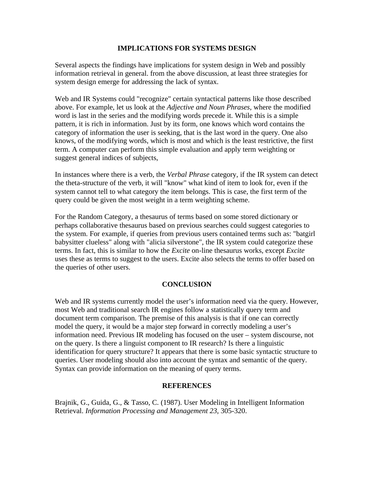## **IMPLICATIONS FOR SYSTEMS DESIGN**

Several aspects the findings have implications for system design in Web and possibly information retrieval in general. from the above discussion, at least three strategies for system design emerge for addressing the lack of syntax.

Web and IR Systems could "recognize" certain syntactical patterns like those described above. For example, let us look at the *Adjective and Noun Phrases*, where the modified word is last in the series and the modifying words precede it. While this is a simple pattern, it is rich in information. Just by its form, one knows which word contains the category of information the user is seeking, that is the last word in the query. One also knows, of the modifying words, which is most and which is the least restrictive, the first term. A computer can perform this simple evaluation and apply term weighting or suggest general indices of subjects,

In instances where there is a verb, the *Verbal Phrase* category, if the IR system can detect the theta-structure of the verb, it will "know" what kind of item to look for, even if the system cannot tell to what category the item belongs. This is case, the first term of the query could be given the most weight in a term weighting scheme.

For the Random Category, a thesaurus of terms based on some stored dictionary or perhaps collaborative thesaurus based on previous searches could suggest categories to the system. For example, if queries from previous users contained terms such as: "batgirl babysitter clueless" along with "alicia silverstone", the IR system could categorize these terms. In fact, this is similar to how the *Excite* on-line thesaurus works, except *Excite* uses these as terms to suggest to the users. Excite also selects the terms to offer based on the queries of other users.

## **CONCLUSION**

Web and IR systems currently model the user's information need via the query. However, most Web and traditional search IR engines follow a statistically query term and document term comparison. The premise of this analysis is that if one can correctly model the query, it would be a major step forward in correctly modeling a user's information need. Previous IR modeling has focused on the user – system discourse, not on the query. Is there a linguist component to IR research? Is there a linguistic identification for query structure? It appears that there is some basic syntactic structure to queries. User modeling should also into account the syntax and semantic of the query. Syntax can provide information on the meaning of query terms.

## **REFERENCES**

Brajnik, G., Guida, G., & Tasso, C. (1987). User Modeling in Intelligent Information Retrieval. *Information Processing and Management 23*, 305-320.